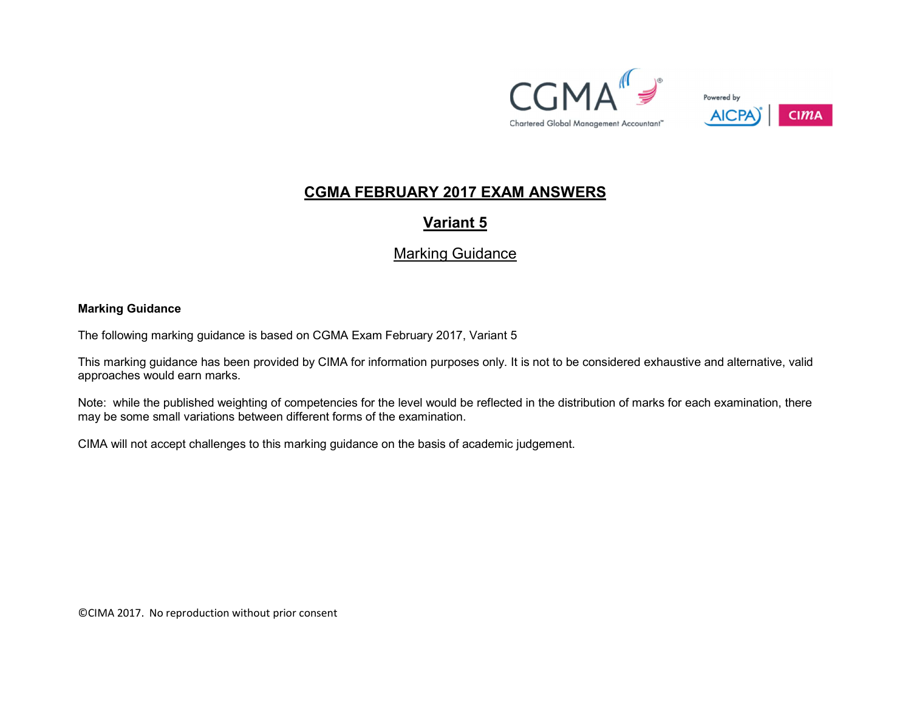



## CGMA FEBRUARY 2017 EXAM ANSWERS

# Variant 5

## Marking Guidance

#### Marking Guidance

The following marking guidance is based on CGMA Exam February 2017, Variant 5

This marking guidance has been provided by CIMA for information purposes only. It is not to be considered exhaustive and alternative, valid approaches would earn marks.

Note: while the published weighting of competencies for the level would be reflected in the distribution of marks for each examination, there may be some small variations between different forms of the examination.

CIMA will not accept challenges to this marking guidance on the basis of academic judgement.

©CIMA 2017. No reproduction without prior consent